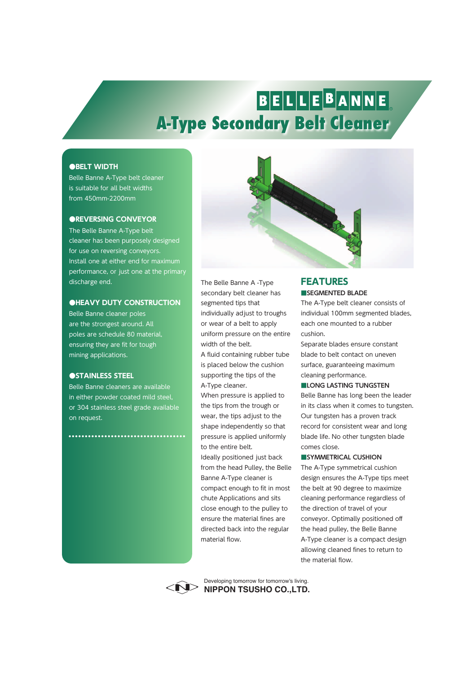# BELLEBANNE **A-Type Secondary Belt Cleaner**

### **●BELT WIDTH**

Belle Banne A-Type belt cleaner is suitable for all belt widths from 450mm-2200mm

#### **●REVERSING CONVEYOR**

The Belle Banne A-Type belt cleaner has been purposely designed for use on reversing conveyors. Install one at either end for maximum performance, or just one at the primary discharge end.

#### **●HEAVY DUTY CONSTRUCTION**

Belle Banne cleaner poles are the strongest around. All poles are schedule 80 material, ensuring they are fit for tough mining applications.

### **●STAINLESS STEEL**

Belle Banne cleaners are available in either powder coated mild steel, or 304 stainless steel grade available on request.

..............................



The Belle Banne A -Type secondary belt cleaner has segmented tips that individually adjust to troughs or wear of a belt to apply uniform pressure on the entire width of the belt.

A fluid containing rubber tube is placed below the cushion supporting the tips of the A-Type cleaner.

When pressure is applied to the tips from the trough or wear, the tips adjust to the shape independently so that pressure is applied uniformly to the entire belt.

Ideally positioned just back from the head Pulley, the Belle Banne A-Type cleaner is compact enough to fit in most chute Applications and sits close enough to the pulley to ensure the material fines are directed back into the regular material flow.

## **■SEGMENTED BLADE FEATURES**

The A-Type belt cleaner consists of individual 100mm segmented blades, each one mounted to a rubber cushion.

Separate blades ensure constant blade to belt contact on uneven surface, guaranteeing maximum cleaning performance.

#### **■LONG LASTING TUNGSTEN**

Belle Banne has long been the leader in its class when it comes to tungsten. Our tungsten has a proven track record for consistent wear and long blade life. No other tungsten blade comes close.

#### **■SYMMETRICAL CUSHION**

The A-Type symmetrical cushion design ensures the A-Type tips meet the belt at 90 degree to maximize cleaning performance regardless of the direction of travel of your conveyor. Optimally positioned off the head pulley, the Belle Banne A-Type cleaner is a compact design allowing cleaned fines to return to the material flow.



**NIPPON TSUSHO CO.,LTD.** Developing tomorrow for tomorrow's living.